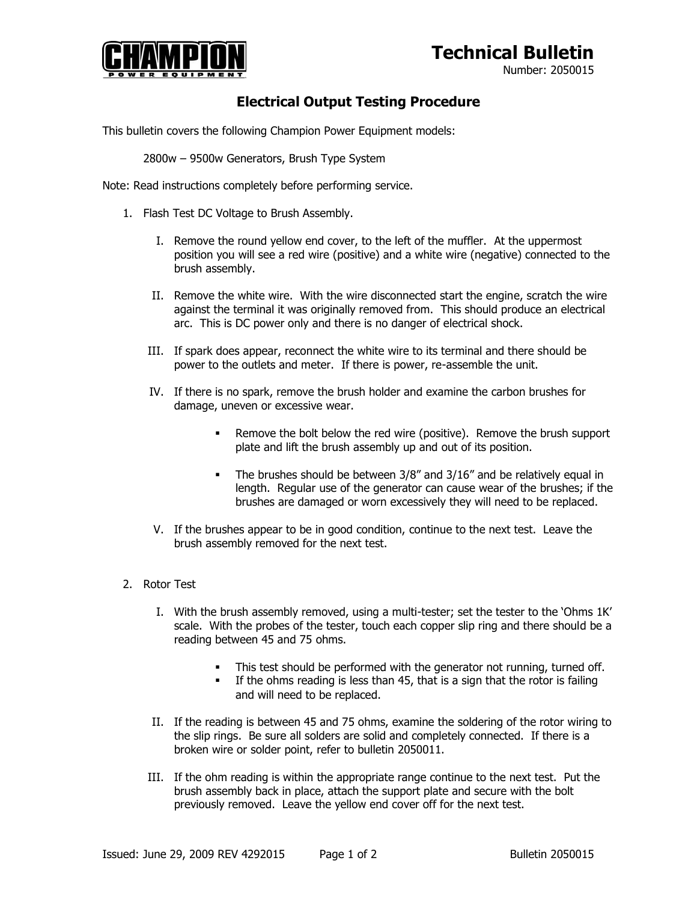## **Technical Bulletin**



Number: 2050015

## **Electrical Output Testing Procedure**

This bulletin covers the following Champion Power Equipment models:

2800w – 9500w Generators, Brush Type System

Note: Read instructions completely before performing service.

- 1. Flash Test DC Voltage to Brush Assembly.
	- I. Remove the round yellow end cover, to the left of the muffler. At the uppermost position you will see a red wire (positive) and a white wire (negative) connected to the brush assembly.
	- II. Remove the white wire. With the wire disconnected start the engine, scratch the wire against the terminal it was originally removed from. This should produce an electrical arc. This is DC power only and there is no danger of electrical shock.
	- III. If spark does appear, reconnect the white wire to its terminal and there should be power to the outlets and meter. If there is power, re-assemble the unit.
	- IV. If there is no spark, remove the brush holder and examine the carbon brushes for damage, uneven or excessive wear.
		- Remove the bolt below the red wire (positive). Remove the brush support plate and lift the brush assembly up and out of its position.
		- The brushes should be between 3/8" and 3/16" and be relatively equal in length. Regular use of the generator can cause wear of the brushes; if the brushes are damaged or worn excessively they will need to be replaced.
	- V. If the brushes appear to be in good condition, continue to the next test. Leave the brush assembly removed for the next test.
- 2. Rotor Test
	- I. With the brush assembly removed, using a multi-tester; set the tester to the 'Ohms 1K' scale. With the probes of the tester, touch each copper slip ring and there should be a reading between 45 and 75 ohms.
		- This test should be performed with the generator not running, turned off.
		- **If the ohms reading is less than 45, that is a sign that the rotor is failing** and will need to be replaced.
	- II. If the reading is between 45 and 75 ohms, examine the soldering of the rotor wiring to the slip rings. Be sure all solders are solid and completely connected. If there is a broken wire or solder point, refer to bulletin 2050011.
	- III. If the ohm reading is within the appropriate range continue to the next test. Put the brush assembly back in place, attach the support plate and secure with the bolt previously removed. Leave the yellow end cover off for the next test.